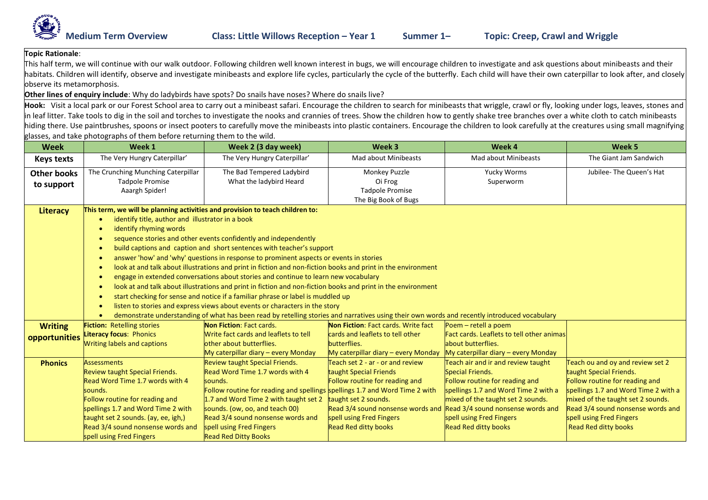

## **Topic Rationale**:

This half term, we will continue with our walk outdoor. Following children well known interest in bugs, we will encourage children to investigate and ask questions about minibeasts and their habitats. Children will identify, observe and investigate minibeasts and explore life cycles, particularly the cycle of the butterfly. Each child will have their own caterpillar to look after, and closely observe its metamorphosis.

## **Other lines of enquiry include**: Why do ladybirds have spots? Do snails have noses? Where do snails live?

Hook: Visit a local park or our Forest School area to carry out a minibeast safari. Encourage the children to search for minibeasts that wriggle, crawl or fly, looking under logs, leaves, stones and in leaf litter. Take tools to dig in the soil and torches to investigate the nooks and crannies of trees. Show the children how to gently shake tree branches over a white cloth to catch minibeasts hiding there. Use paintbrushes, spoons or insect pooters to carefully move the minibeasts into plastic containers. Encourage the children to look carefully at the creatures using small magnifying glasses, and take photographs of them before returning them to the wild.

| <b>Week</b>        | Week 1                                                                                                                                       | Week 2 (3 day week)                                                         | Week 3                                                              | Week 4                                    | Week 5                               |  |  |  |
|--------------------|----------------------------------------------------------------------------------------------------------------------------------------------|-----------------------------------------------------------------------------|---------------------------------------------------------------------|-------------------------------------------|--------------------------------------|--|--|--|
| <b>Keys texts</b>  | The Very Hungry Caterpillar'                                                                                                                 | The Very Hungry Caterpillar'                                                | <b>Mad about Minibeasts</b>                                         | Mad about Minibeasts                      | The Giant Jam Sandwich               |  |  |  |
| <b>Other books</b> | The Crunching Munching Caterpillar                                                                                                           | The Bad Tempered Ladybird                                                   | <b>Monkey Puzzle</b>                                                | Yucky Worms                               | Jubilee- The Queen's Hat             |  |  |  |
| to support         | <b>Tadpole Promise</b>                                                                                                                       | What the ladybird Heard                                                     | Oi Frog                                                             | Superworm                                 |                                      |  |  |  |
|                    | Aaargh Spider!                                                                                                                               |                                                                             | <b>Tadpole Promise</b>                                              |                                           |                                      |  |  |  |
|                    |                                                                                                                                              |                                                                             | The Big Book of Bugs                                                |                                           |                                      |  |  |  |
| <b>Literacy</b>    | This term, we will be planning activities and provision to teach children to:                                                                |                                                                             |                                                                     |                                           |                                      |  |  |  |
|                    | identify title, author and illustrator in a book                                                                                             |                                                                             |                                                                     |                                           |                                      |  |  |  |
|                    | identify rhyming words                                                                                                                       |                                                                             |                                                                     |                                           |                                      |  |  |  |
|                    | sequence stories and other events confidently and independently                                                                              |                                                                             |                                                                     |                                           |                                      |  |  |  |
|                    | build captions and caption and short sentences with teacher's support<br>$\bullet$                                                           |                                                                             |                                                                     |                                           |                                      |  |  |  |
|                    | answer 'how' and 'why' questions in response to prominent aspects or events in stories<br>$\bullet$                                          |                                                                             |                                                                     |                                           |                                      |  |  |  |
|                    | look at and talk about illustrations and print in fiction and non-fiction books and print in the environment<br>$\bullet$                    |                                                                             |                                                                     |                                           |                                      |  |  |  |
|                    | engage in extended conversations about stories and continue to learn new vocabulary<br>٠                                                     |                                                                             |                                                                     |                                           |                                      |  |  |  |
|                    | look at and talk about illustrations and print in fiction and non-fiction books and print in the environment                                 |                                                                             |                                                                     |                                           |                                      |  |  |  |
|                    | start checking for sense and notice if a familiar phrase or label is muddled up<br>$\bullet$                                                 |                                                                             |                                                                     |                                           |                                      |  |  |  |
|                    | listen to stories and express views about events or characters in the story                                                                  |                                                                             |                                                                     |                                           |                                      |  |  |  |
|                    | demonstrate understanding of what has been read by retelling stories and narratives using their own words and recently introduced vocabulary |                                                                             |                                                                     |                                           |                                      |  |  |  |
| <b>Writing</b>     | <b>Fiction: Retelling stories</b>                                                                                                            | Non Fiction: Fact cards.                                                    | Non Fiction: Fact cards. Write fact                                 | Poem $-$ retell a poem                    |                                      |  |  |  |
| opportunities      | Literacy focus: Phonics                                                                                                                      | Write fact cards and leaflets to tell                                       | cards and leaflets to tell other                                    | Fact cards. Leaflets to tell other animas |                                      |  |  |  |
|                    | <b>Writing labels and captions</b>                                                                                                           | other about butterflies.                                                    | butterflies.                                                        | about butterflies.                        |                                      |  |  |  |
|                    |                                                                                                                                              | My caterpillar diary – every Monday                                         | $My$ caterpillar diary $-$ every Monday                             | My caterpillar diary - every Monday       |                                      |  |  |  |
| <b>Phonics</b>     | <b>Assessments</b>                                                                                                                           | Review taught Special Friends.                                              | Teach set 2 - ar - or and review                                    | Teach air and ir and review taught        | Teach ou and oy and review set 2     |  |  |  |
|                    | <b>Review taught Special Friends.</b>                                                                                                        | Read Word Time 1.7 words with 4                                             | taught Special Friends                                              | Special Friends.                          | taught Special Friends.              |  |  |  |
|                    | Read Word Time 1.7 words with 4                                                                                                              | sounds.                                                                     | Follow routine for reading and                                      | Follow routine for reading and            | Follow routine for reading and       |  |  |  |
|                    | sounds.                                                                                                                                      | Follow routine for reading and spellings spellings 1.7 and Word Time 2 with |                                                                     | spellings 1.7 and Word Time 2 with a      | spellings 1.7 and Word Time 2 with a |  |  |  |
|                    | Follow routine for reading and                                                                                                               | 1.7 and Word Time 2 with taught set 2                                       | taught set 2 sounds.                                                | mixed of the taught set 2 sounds.         | mixed of the taught set 2 sounds.    |  |  |  |
|                    | spellings 1.7 and Word Time 2 with                                                                                                           | sounds. (ow, oo, and teach 00)                                              | Read 3/4 sound nonsense words and Read 3/4 sound nonsense words and |                                           | Read 3/4 sound nonsense words and    |  |  |  |
|                    | taught set 2 sounds. (ay, ee, igh,)                                                                                                          | Read 3/4 sound nonsense words and                                           | spell using Fred Fingers                                            | spell using Fred Fingers                  | spell using Fred Fingers             |  |  |  |
|                    | Read 3/4 sound nonsense words and                                                                                                            | spell using Fred Fingers                                                    | <b>Read Red ditty books</b>                                         | <b>Read Red ditty books</b>               | <b>Read Red ditty books</b>          |  |  |  |
|                    | spell using Fred Fingers                                                                                                                     | <b>Read Red Ditty Books</b>                                                 |                                                                     |                                           |                                      |  |  |  |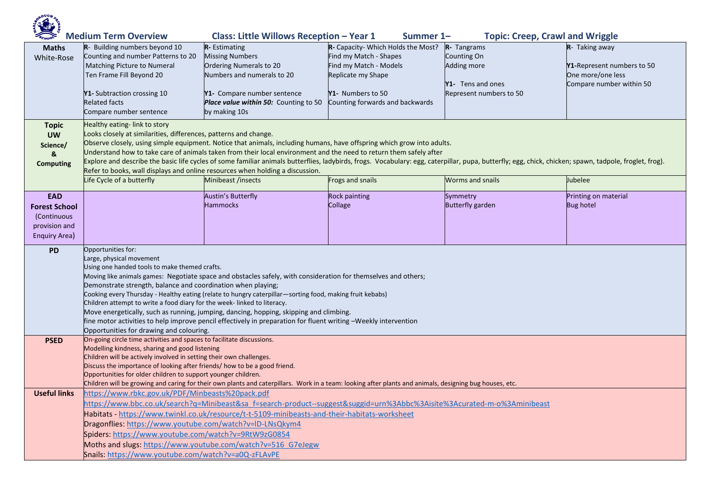| <b>Class: Little Willows Reception - Year 1</b><br><b>Medium Term Overview</b><br><b>Topic: Creep, Crawl and Wriggle</b><br>Summer 1- |                                                                                                                                                                                                                                                                                                                                                                                                                                                                                                                                                                                                                                                                                                                                   |                                                                                                                                                                                                             |                                                              |                                              |                                                 |  |  |  |  |
|---------------------------------------------------------------------------------------------------------------------------------------|-----------------------------------------------------------------------------------------------------------------------------------------------------------------------------------------------------------------------------------------------------------------------------------------------------------------------------------------------------------------------------------------------------------------------------------------------------------------------------------------------------------------------------------------------------------------------------------------------------------------------------------------------------------------------------------------------------------------------------------|-------------------------------------------------------------------------------------------------------------------------------------------------------------------------------------------------------------|--------------------------------------------------------------|----------------------------------------------|-------------------------------------------------|--|--|--|--|
| <b>Maths</b><br>White-Rose                                                                                                            | R- Building numbers beyond 10<br>Counting and number Patterns to 20                                                                                                                                                                                                                                                                                                                                                                                                                                                                                                                                                                                                                                                               | R- Estimating<br><b>Missing Numbers</b>                                                                                                                                                                     | R- Capacity- Which Holds the Most?<br>Find my Match - Shapes | R- Tangrams<br>Counting On                   | R- Taking away                                  |  |  |  |  |
|                                                                                                                                       | Matching Picture to Numeral<br>Ten Frame Fill Beyond 20                                                                                                                                                                                                                                                                                                                                                                                                                                                                                                                                                                                                                                                                           | Ordering Numerals to 20<br>Numbers and numerals to 20                                                                                                                                                       | Find my Match - Models<br>Replicate my Shape                 | Adding more                                  | Y1-Represent numbers to 50<br>One more/one less |  |  |  |  |
|                                                                                                                                       | Y1- Subtraction crossing 10<br><b>Related facts</b><br>Compare number sentence                                                                                                                                                                                                                                                                                                                                                                                                                                                                                                                                                                                                                                                    | Y1- Compare number sentence<br>Place value within 50: Counting to 50<br>by making 10s                                                                                                                       | Y1- Numbers to 50<br>Counting forwards and backwards         | Y1- Tens and ones<br>Represent numbers to 50 | Compare number within 50                        |  |  |  |  |
| <b>Topic</b><br><b>UW</b><br>Science/<br>&<br><b>Computing</b>                                                                        | Healthy eating-link to story<br>Looks closely at similarities, differences, patterns and change.<br>Observe closely, using simple equipment. Notice that animals, including humans, have offspring which grow into adults.<br>Understand how to take care of animals taken from their local environment and the need to return them safely after<br>Explore and describe the basic life cycles of some familiar animals butterflies, ladybirds, frogs. Vocabulary: egg, caterpillar, pupa, butterfly; egg, chick, chicken; spawn, tadpole, froglet, frog).<br>Refer to books, wall displays and online resources when holding a discussion.                                                                                       |                                                                                                                                                                                                             |                                                              |                                              |                                                 |  |  |  |  |
|                                                                                                                                       | Life Cycle of a butterfly                                                                                                                                                                                                                                                                                                                                                                                                                                                                                                                                                                                                                                                                                                         | Minibeast /insects                                                                                                                                                                                          | Frogs and snails                                             | <b>Worms and snails</b>                      | Jubelee                                         |  |  |  |  |
| <b>EAD</b><br><b>Forest School</b><br>(Continuous<br>provision and<br>Enquiry Area)                                                   |                                                                                                                                                                                                                                                                                                                                                                                                                                                                                                                                                                                                                                                                                                                                   | <b>Austin's Butterfly</b><br><b>Hammocks</b>                                                                                                                                                                | <b>Rock painting</b><br>Collage                              | Symmetry<br><b>Butterfly garden</b>          | Printing on material<br><b>Bug hotel</b>        |  |  |  |  |
| <b>PD</b>                                                                                                                             | Opportunities for:<br>Large, physical movement<br>Using one handed tools to make themed crafts.<br>Moving like animals games: Negotiate space and obstacles safely, with consideration for themselves and others;<br>Demonstrate strength, balance and coordination when playing;<br>Cooking every Thursday - Healthy eating (relate to hungry caterpillar—sorting food, making fruit kebabs)<br>Children attempt to write a food diary for the week-linked to literacy.<br>Move energetically, such as running, jumping, dancing, hopping, skipping and climbing.<br>fine motor activities to help improve pencil effectively in preparation for fluent writing -Weekly intervention<br>Opportunities for drawing and colouring. |                                                                                                                                                                                                             |                                                              |                                              |                                                 |  |  |  |  |
| <b>PSED</b>                                                                                                                           | On-going circle time activities and spaces to facilitate discussions.<br>Modelling kindness, sharing and good listening<br>Children will be actively involved in setting their own challenges.                                                                                                                                                                                                                                                                                                                                                                                                                                                                                                                                    |                                                                                                                                                                                                             |                                                              |                                              |                                                 |  |  |  |  |
|                                                                                                                                       | Discuss the importance of looking after friends/ how to be a good friend.<br>Opportunities for older children to support younger children.                                                                                                                                                                                                                                                                                                                                                                                                                                                                                                                                                                                        |                                                                                                                                                                                                             |                                                              |                                              |                                                 |  |  |  |  |
| <b>Useful links</b>                                                                                                                   |                                                                                                                                                                                                                                                                                                                                                                                                                                                                                                                                                                                                                                                                                                                                   | Children will be growing and caring for their own plants and caterpillars. Work in a team: looking after plants and animals, designing bug houses, etc.<br>https://www.rbkc.gov.uk/PDF/Minbeasts%20pack.pdf |                                                              |                                              |                                                 |  |  |  |  |
|                                                                                                                                       |                                                                                                                                                                                                                                                                                                                                                                                                                                                                                                                                                                                                                                                                                                                                   | https://www.bbc.co.uk/search?q=Minibeast&sa f=search-product--suggest&suggid=urn%3Abbc%3Aisite%3Acurated-m-o%3Aminibeast                                                                                    |                                                              |                                              |                                                 |  |  |  |  |
|                                                                                                                                       |                                                                                                                                                                                                                                                                                                                                                                                                                                                                                                                                                                                                                                                                                                                                   | Habitats - https://www.twinkl.co.uk/resource/t-t-5109-minibeasts-and-their-habitats-worksheet                                                                                                               |                                                              |                                              |                                                 |  |  |  |  |
|                                                                                                                                       | Dragonflies: https://www.youtube.com/watch?v=ID-LNsQkym4<br>Spiders: https://www.youtube.com/watch?v=9RtW9zG0854                                                                                                                                                                                                                                                                                                                                                                                                                                                                                                                                                                                                                  |                                                                                                                                                                                                             |                                                              |                                              |                                                 |  |  |  |  |
|                                                                                                                                       | Moths and slugs: https://www.youtube.com/watch?v=516 G7eJegw                                                                                                                                                                                                                                                                                                                                                                                                                                                                                                                                                                                                                                                                      |                                                                                                                                                                                                             |                                                              |                                              |                                                 |  |  |  |  |
|                                                                                                                                       | Snails: https://www.youtube.com/watch?v=a0Q-zFLAvPE                                                                                                                                                                                                                                                                                                                                                                                                                                                                                                                                                                                                                                                                               |                                                                                                                                                                                                             |                                                              |                                              |                                                 |  |  |  |  |